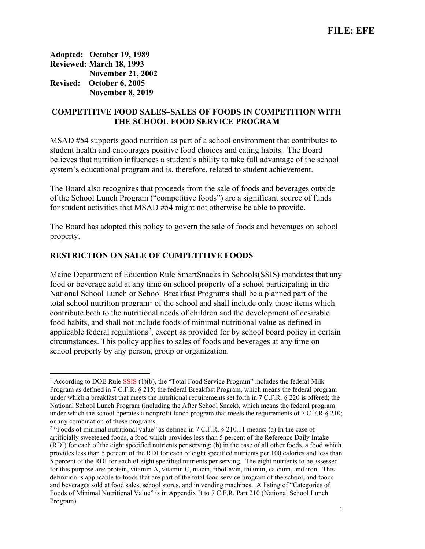Adopted: October 19, 1989 Reviewed: March 18, 1993 November 21, 2002 Revised: October 6, 2005 November 8, 2019

# COMPETITIVE FOOD SALES–SALES OF FOODS IN COMPETITION WITH THE SCHOOL FOOD SERVICE PROGRAM

MSAD #54 supports good nutrition as part of a school environment that contributes to student health and encourages positive food choices and eating habits. The Board believes that nutrition influences a student's ability to take full advantage of the school system's educational program and is, therefore, related to student achievement.

The Board also recognizes that proceeds from the sale of foods and beverages outside of the School Lunch Program ("competitive foods") are a significant source of funds for student activities that MSAD #54 might not otherwise be able to provide.

The Board has adopted this policy to govern the sale of foods and beverages on school property.

## RESTRICTION ON SALE OF COMPETITIVE FOODS

Maine Department of Education Rule SmartSnacks in Schools(SSIS) mandates that any food or beverage sold at any time on school property of a school participating in the National School Lunch or School Breakfast Programs shall be a planned part of the total school nutrition program<sup>1</sup> of the school and shall include only those items which contribute both to the nutritional needs of children and the development of desirable food habits, and shall not include foods of minimal nutritional value as defined in applicable federal regulations<sup>2</sup>, except as provided for by school board policy in certain circumstances. This policy applies to sales of foods and beverages at any time on school property by any person, group or organization.

<sup>&</sup>lt;sup>1</sup> According to DOE Rule SSIS (1)(b), the "Total Food Service Program" includes the federal Milk Program as defined in 7 C.F.R. § 215; the federal Breakfast Program, which means the federal program under which a breakfast that meets the nutritional requirements set forth in 7 C.F.R. § 220 is offered; the National School Lunch Program (including the After School Snack), which means the federal program under which the school operates a nonprofit lunch program that meets the requirements of 7 C.F.R.§ 210; or any combination of these programs.

<sup>&</sup>lt;sup>2</sup> "Foods of minimal nutritional value" as defined in 7 C.F.R. § 210.11 means: (a) In the case of artificially sweetened foods, a food which provides less than 5 percent of the Reference Daily Intake (RDI) for each of the eight specified nutrients per serving; (b) in the case of all other foods, a food which provides less than 5 percent of the RDI for each of eight specified nutrients per 100 calories and less than 5 percent of the RDI for each of eight specified nutrients per serving. The eight nutrients to be assessed for this purpose are: protein, vitamin A, vitamin C, niacin, riboflavin, thiamin, calcium, and iron. This definition is applicable to foods that are part of the total food service program of the school, and foods and beverages sold at food sales, school stores, and in vending machines. A listing of "Categories of Foods of Minimal Nutritional Value" is in Appendix B to 7 C.F.R. Part 210 (National School Lunch Program).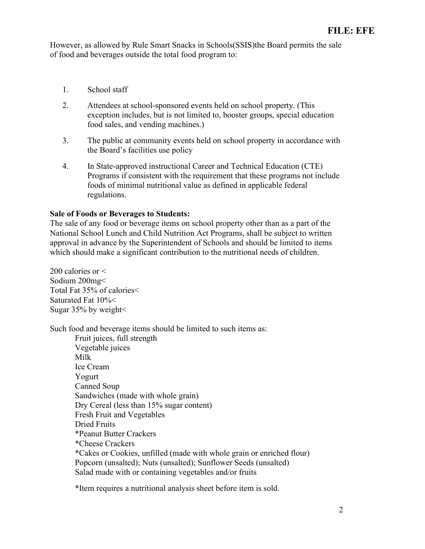However, as allowed by Rule Smart Snacks in Schools(SSIS)the Board permits the sale of food and beverages outside the total food program to:

- 1. School staff
- 2. Attendees at school-sponsored events held on school property. (This exception includes, but is not limited to, booster groups, special education food sales, and vending machines.)
- 3. The public at community events held on school property in accordance with the Board's facilities use policy
- 4. In State-approved instructional Career and Technical Education (CTE) Programs if consistent with the requirement that these programs not include foods of minimal nutritional value as defined in applicable federal regulations.

## Sale of Foods or Beverages to Students:

The sale of any food or beverage items on school property other than as a part of the National School Lunch and Child Nutrition Act Programs, shall be subject to written approval in advance by the Superintendent of Schools and should be limited to items which should make a significant contribution to the nutritional needs of children.

200 calories or < Sodium 200mg< Total Fat 35% of calories< Saturated Fat 10%< Sugar 35% by weight<

Such food and beverage items should be limited to such items as:

 Fruit juices, full strength Vegetable juices Milk Ice Cream Yogurt Canned Soup Sandwiches (made with whole grain) Dry Cereal (less than 15% sugar content) Fresh Fruit and Vegetables Dried Fruits \*Peanut Butter Crackers \*Cheese Crackers \*Cakes or Cookies, unfilled (made with whole grain or enriched flour) Popcorn (unsalted); Nuts (unsalted); Sunflower Seeds (unsalted) Salad made with or containing vegetables and/or fruits

\*Item requires a nutritional analysis sheet before item is sold.